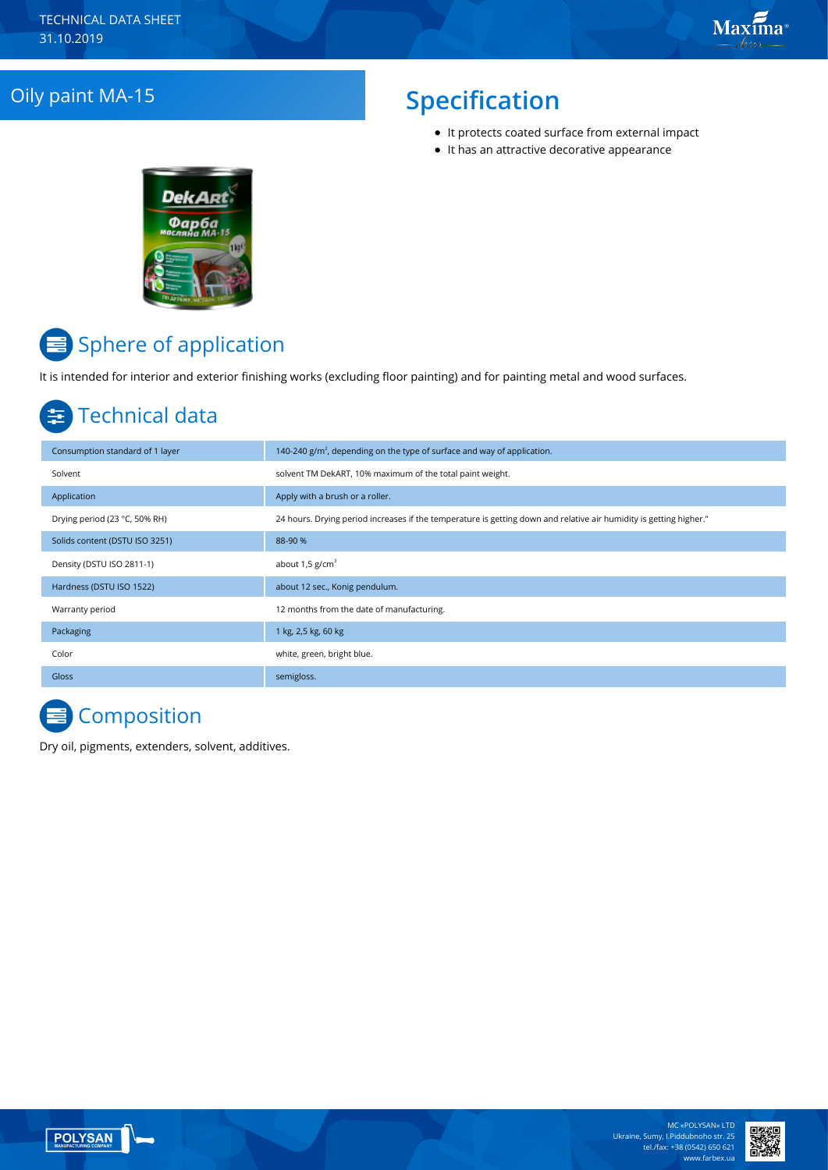## **Oily paint MA-15** Specification

- It protects coated surface from external impact
- It has an attractive decorative appearance



# Sphere of application

It is intended for interior and exterior finishing works (excluding floor painting) and for painting metal and wood surfaces.

## Technical data

| Consumption standard of 1 layer | 140-240 $g/m2$ , depending on the type of surface and way of application.                                          |
|---------------------------------|--------------------------------------------------------------------------------------------------------------------|
| Solvent                         | solvent TM DekART, 10% maximum of the total paint weight.                                                          |
| Application                     | Apply with a brush or a roller.                                                                                    |
| Drying period (23 °C, 50% RH)   | 24 hours. Drying period increases if the temperature is getting down and relative air humidity is getting higher." |
| Solids content (DSTU ISO 3251)  | 88-90 %                                                                                                            |
| Density (DSTU ISO 2811-1)       | about $1.5$ g/cm <sup>3</sup>                                                                                      |
| Hardness (DSTU ISO 1522)        | about 12 sec., Konig pendulum.                                                                                     |
| Warranty period                 | 12 months from the date of manufacturing.                                                                          |
| Packaging                       | 1 kg, 2,5 kg, 60 kg                                                                                                |
| Color                           | white, green, bright blue.                                                                                         |
| <b>Gloss</b>                    | semigloss.                                                                                                         |

## **Composition**

Dry oil, pigments, extenders, solvent, additives.